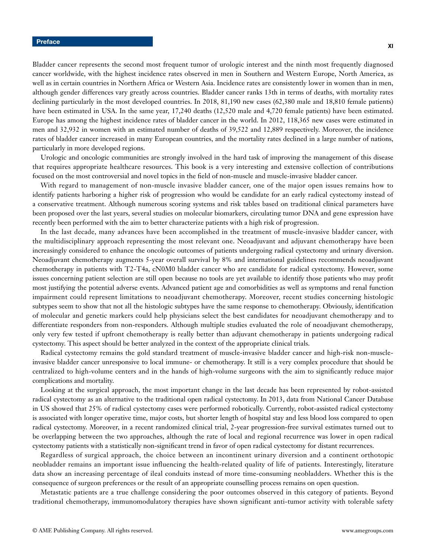Bladder cancer represents the second most frequent tumor of urologic interest and the ninth most frequently diagnosed cancer worldwide, with the highest incidence rates observed in men in Southern and Western Europe, North America, as well as in certain countries in Northern Africa or Western Asia. Incidence rates are consistently lower in women than in men, although gender differences vary greatly across countries. Bladder cancer ranks 13th in terms of deaths, with mortality rates declining particularly in the most developed countries. In 2018, 81,190 new cases (62,380 male and 18,810 female patients) have been estimated in USA. In the same year, 17,240 deaths (12,520 male and 4,720 female patients) have been estimated. Europe has among the highest incidence rates of bladder cancer in the world. In 2012, 118,365 new cases were estimated in men and 32,932 in women with an estimated number of deaths of 39,522 and 12,889 respectively. Moreover, the incidence rates of bladder cancer increased in many European countries, and the mortality rates declined in a large number of nations, particularly in more developed regions.

Urologic and oncologic communities are strongly involved in the hard task of improving the management of this disease that requires appropriate healthcare resources. This book is a very interesting and extensive collection of contributions focused on the most controversial and novel topics in the field of non-muscle and muscle-invasive bladder cancer.

With regard to management of non-muscle invasive bladder cancer, one of the major open issues remains how to identify patients harboring a higher risk of progression who would be candidate for an early radical cystectomy instead of a conservative treatment. Although numerous scoring systems and risk tables based on traditional clinical parameters have been proposed over the last years, several studies on molecular biomarkers, circulating tumor DNA and gene expression have recently been performed with the aim to better characterize patients with a high risk of progression.

In the last decade, many advances have been accomplished in the treatment of muscle-invasive bladder cancer, with the multidisciplinary approach representing the most relevant one. Neoadjuvant and adjuvant chemotherapy have been increasingly considered to enhance the oncologic outcomes of patients undergoing radical cystectomy and urinary diversion. Neoadjuvant chemotherapy augments 5-year overall survival by 8% and international guidelines recommends neoadjuvant chemotherapy in patients with T2-T4a, cN0M0 bladder cancer who are candidate for radical cystectomy. However, some issues concerning patient selection are still open because no tools are yet available to identify those patients who may profit most justifying the potential adverse events. Advanced patient age and comorbidities as well as symptoms and renal function impairment could represent limitations to neoadjuvant chemotherapy. Moreover, recent studies concerning histologic subtypes seem to show that not all the histologic subtypes have the same response to chemotherapy. Obviously, identification of molecular and genetic markers could help physicians select the best candidates for neoadjuvant chemotherapy and to differentiate responders from non-responders. Although multiple studies evaluated the role of neoadjuvant chemotherapy, only very few tested if upfront chemotherapy is really better than adjuvant chemotherapy in patients undergoing radical cystectomy. This aspect should be better analyzed in the context of the appropriate clinical trials.

Radical cystectomy remains the gold standard treatment of muscle-invasive bladder cancer and high-risk non-muscleinvasive bladder cancer unresponsive to local immune- or chemotherapy. It still is a very complex procedure that should be centralized to high-volume centers and in the hands of high-volume surgeons with the aim to significantly reduce major complications and mortality.

Looking at the surgical approach, the most important change in the last decade has been represented by robot-assisted radical cystectomy as an alternative to the traditional open radical cystectomy. In 2013, data from National Cancer Database in US showed that 25% of radical cystectomy cases were performed robotically. Currently, robot-assisted radical cystectomy is associated with longer operative time, major costs, but shorter length of hospital stay and less blood loss compared to open radical cystectomy. Moreover, in a recent randomized clinical trial, 2-year progression-free survival estimates turned out to be overlapping between the two approaches, although the rate of local and regional recurrence was lower in open radical cystectomy patients with a statistically non-significant trend in favor of open radical cystectomy for distant recurrences.

Regardless of surgical approach, the choice between an incontinent urinary diversion and a continent orthotopic neobladder remains an important issue influencing the health-related quality of life of patients. Interestingly, literature data show an increasing percentage of ileal conduits instead of more time-consuming neobladders. Whether this is the consequence of surgeon preferences or the result of an appropriate counselling process remains on open question.

Metastatic patients are a true challenge considering the poor outcomes observed in this category of patients. Beyond traditional chemotherapy, immunomodulatory therapies have shown significant anti-tumor activity with tolerable safety